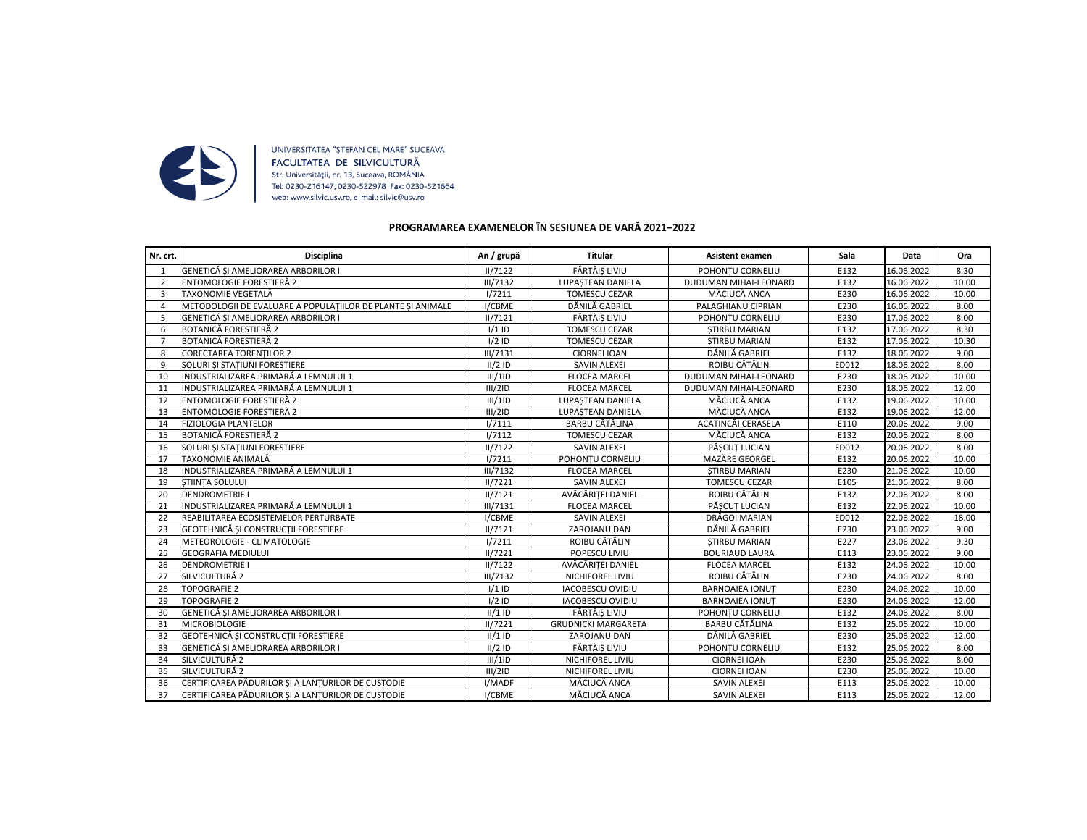

UNIVERSITATEA "ŞTEFAN CEL MARE" SUCEAVA FACULTATEA DE SILVICULTURĂ Str. Universității, nr. 13, Suceava, ROMÂNIA Tel: 0230-216147, 0230-522978 Fax: 0230-521664 web: www.silvic.usv.ro, e-mail: silvic@usv.ro

## **PROGRAMAREA EXAMENELOR ÎN SESIUNEA DE VARĂ 2021–2022**

| Nr. crt.       | Disciplina                                                  | An / grupă      | Titular                    | <b>Asistent examen</b>       | Sala  | Data       | Ora   |
|----------------|-------------------------------------------------------------|-----------------|----------------------------|------------------------------|-------|------------|-------|
|                | GENETICĂ SI AMELIORAREA ARBORILOR I                         | II/7122         | FĂRTĂIS LIVIU              | POHONTU CORNELIU             | E132  | 16.06.2022 | 8.30  |
|                | ENTOMOLOGIE FORESTIERĂ 2                                    | <b>III/7132</b> | LUPASTEAN DANIELA          | DUDUMAN MIHAI-LEONARD        | E132  | 16.06.2022 | 10.00 |
| 3              | TAXONOMIE VEGETALĂ                                          | 1/7211          | <b>TOMESCU CEZAR</b>       | MĂCIUCĂ ANCA                 | E230  | 16.06.2022 | 10.00 |
| 4              | METODOLOGII DE EVALUARE A POPULATIILOR DE PLANTE SI ANIMALE | I/CBME          | DĂNILĂ GABRIEL             | PALAGHIANU CIPRIAN           | E230  | 16.06.2022 | 8.00  |
| 5              | GENETICĂ SI AMELIORAREA ARBORILOR I                         | II/7121         | FĂRTĂIS LIVIU              | POHONTU CORNELIU             | E230  | 17.06.2022 | 8.00  |
| 6              | <b>BOTANICĂ FORESTIERĂ 2</b>                                | $1/1$ ID        | <b>TOMESCU CEZAR</b>       | <b>STIRBU MARIAN</b>         | E132  | 17.06.2022 | 8.30  |
| $\overline{7}$ | <b>BOTANICĂ FORESTIERĂ 2</b>                                | $1/2$ ID        | <b>TOMESCU CEZAR</b>       | <b>STIRBU MARIAN</b>         | E132  | 17.06.2022 | 10.30 |
| 8              | <b>CORECTAREA TORENTILOR 2</b>                              | <b>III/7131</b> | <b>CIORNEI IOAN</b>        | DĂNILĂ GABRIEL               | E132  | 18.06.2022 | 9.00  |
| q              | SOLURI SI STATIUNI FORESTIERE                               | $II/2$ ID       | <b>SAVIN ALEXEI</b>        | ROIBU CĂTĂLIN                | ED012 | 18.06.2022 | 8.00  |
| 10             | INDUSTRIALIZAREA PRIMARĂ A LEMNULUI 1                       | III/1ID         | <b>FLOCEA MARCEL</b>       | <b>DUDUMAN MIHAI-LEONARD</b> | E230  | 18.06.2022 | 10.00 |
| 11             | INDUSTRIALIZAREA PRIMARĂ A LEMNULUI 1                       | III/2ID         | <b>FLOCEA MARCEL</b>       | DUDUMAN MIHAI-LEONARD        | E230  | 18.06.2022 | 12.00 |
| 12             | ENTOMOLOGIE FORESTIERĂ 2                                    | III/1ID         | LUPASTEAN DANIELA          | MĂCIUCĂ ANCA                 | E132  | 19.06.2022 | 10.00 |
| 13             | ENTOMOLOGIE FORESTIERĂ 2                                    | III/2ID         | LUPASTEAN DANIELA          | MĂCIUCĂ ANCA                 | E132  | 19.06.2022 | 12.00 |
| 14             | <b>FIZIOLOGIA PLANTELOR</b>                                 | 1/7111          | <b>BARBU CĂTĂLINA</b>      | ACATINCĂI CERASELA           | E110  | 20.06.2022 | 9.00  |
| 15             | BOTANICĂ FORESTIERĂ 2                                       | 1/7112          | <b>TOMESCU CEZAR</b>       | MĂCIUCĂ ANCA                 | E132  | 20.06.2022 | 8.00  |
| 16             | SOLURI SI STATIUNI FORESTIERE                               | II/7122         | <b>SAVIN ALEXEI</b>        | PĂSCUT LUCIAN                | ED012 | 20.06.2022 | 8.00  |
| 17             | TAXONOMIE ANIMALĂ                                           | 1/7211          | POHONTU CORNELIU           | MAZĂRE GEORGEL               | E132  | 20.06.2022 | 10.00 |
| 18             | INDUSTRIALIZAREA PRIMARĂ A LEMNULUI 1                       | <b>III/7132</b> | <b>FLOCEA MARCEL</b>       | <b>STIRBU MARIAN</b>         | E230  | 21.06.2022 | 10.00 |
| 19             | <b>STIINTA SOLULUI</b>                                      | II/7221         | <b>SAVIN ALEXEI</b>        | <b>TOMESCU CEZAR</b>         | E105  | 21.06.2022 | 8.00  |
| 20             | <b>DENDROMETRIE I</b>                                       | II/7121         | AVĂCĂRITEI DANIEL          | ROIBU CĂTĂLIN                | E132  | 22.06.2022 | 8.00  |
| 21             | INDUSTRIALIZAREA PRIMARĂ A LEMNULUI 1                       | III/7131        | <b>FLOCEA MARCEL</b>       | PĂSCUT LUCIAN                | E132  | 22.06.2022 | 10.00 |
| 22             | REABILITAREA ECOSISTEMELOR PERTURBATE                       | I/CBME          | <b>SAVIN ALEXEI</b>        | DRĂGOI MARIAN                | ED012 | 22.06.2022 | 18.00 |
| 23             | GEOTEHNICĂ SI CONSTRUCTII FORESTIERE                        | II/7121         | ZAROJANU DAN               | DĂNILĂ GABRIEL               | E230  | 23.06.2022 | 9.00  |
| 24             | METEOROLOGIE - CLIMATOLOGIE                                 | 1/7211          | ROIBU CĂTĂLIN              | <b>STIRBU MARIAN</b>         | E227  | 23.06.2022 | 9.30  |
| 25             | <b>GEOGRAFIA MEDIULUI</b>                                   | II/7221         | POPESCU LIVIU              | <b>BOURIAUD LAURA</b>        | E113  | 23.06.2022 | 9.00  |
| 26             | <b>DENDROMETRIE I</b>                                       | II/7122         | AVĂCĂRITEI DANIEL          | <b>FLOCEA MARCEL</b>         | E132  | 24.06.2022 | 10.00 |
| 27             | SILVICULTURĂ 2                                              | <b>III/7132</b> | NICHIFOREL LIVIU           | ROIBU CĂTĂLIN                | E230  | 24.06.2022 | 8.00  |
| 28             | <b>TOPOGRAFIE 2</b>                                         | $1/1$ ID        | <b>IACOBESCU OVIDIU</b>    | <b>BARNOAIEA IONUT</b>       | E230  | 24.06.2022 | 10.00 |
| 29             | <b>TOPOGRAFIE 2</b>                                         | $I/2$ ID        | <b>IACOBESCU OVIDIU</b>    | <b>BARNOAIEA IONUT</b>       | E230  | 24.06.2022 | 12.00 |
| 30             | GENETICĂ SI AMELIORAREA ARBORILOR I                         | $II/1$ ID       | FĂRTĂIS LIVIU              | POHONTU CORNELIU             | E132  | 24.06.2022 | 8.00  |
| 31             | <b>MICROBIOLOGIE</b>                                        | 11/7221         | <b>GRUDNICKI MARGARETA</b> | BARBU CĂTĂLINA               | E132  | 25.06.2022 | 10.00 |
| 32             | GEOTEHNICĂ SI CONSTRUCTII FORESTIERE                        | $II/1$ ID       | ZAROJANU DAN               | DĂNILĂ GABRIEL               | E230  | 25.06.2022 | 12.00 |
| 33             | GENETICĂ SI AMELIORAREA ARBORILOR I                         | $II/2$ ID       | FĂRTĂIS LIVIU              | POHONTU CORNELIU             | E132  | 25.06.2022 | 8.00  |
| 34             | SILVICULTURĂ 2                                              | III/1ID         | NICHIFOREL LIVIU           | <b>CIORNEI IOAN</b>          | E230  | 25.06.2022 | 8.00  |
| 35             | SILVICULTURĂ 2                                              | III/2ID         | NICHIFOREL LIVIU           | <b>CIORNEI IOAN</b>          | E230  | 25.06.2022 | 10.00 |
| 36             | CERTIFICAREA PĂDURILOR ȘI A LANTURILOR DE CUSTODIE          | I/MADF          | MĂCIUCĂ ANCA               | <b>SAVIN ALEXEI</b>          | E113  | 25.06.2022 | 10.00 |
| 37             | CERTIFICAREA PĂDURILOR SI A LANTURILOR DE CUSTODIE          | I/CBME          | MĂCIUCĂ ANCA               | <b>SAVIN ALEXEI</b>          | E113  | 25.06.2022 | 12.00 |